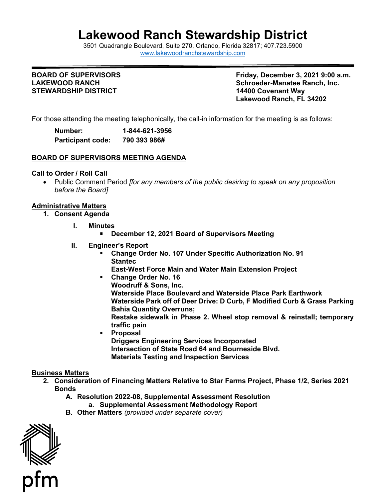# **Lakewood Ranch Stewardship District**

 3501 Quadrangle Boulevard, Suite 270, Orlando, Florida 32817; 407.723.5900 [www.lakewoodranchstewardship.com](http://www.lakewoodranchstewardship.com/) 

## **BOARD OF SUPERVISORS LAKEWOOD RANCH STEWARDSHIP DISTRICT**

**Friday, December 3, 2021 9:00 a.m. Schroeder-Manatee Ranch, Inc. 14400 Covenant Wav Lakewood Ranch, FL 34202** 

For those attending the meeting telephonically, the call-in information for the meeting is as follows:

| Number:                  | 1-844-621-3956 |
|--------------------------|----------------|
| <b>Participant code:</b> | 790 393 986#   |

## **BOARD OF SUPERVISORS MEETING AGENDA**

## **Call to Order / Roll Call**

• Public Comment Period *[for any members of the public desiring to speak on any proposition before the Board]* 

#### **Administrative Matters**

- **1. Consent Agenda** 
	- **I. Minutes** 
		- **December 12, 2021 Board of Supervisors Meeting**
	- **II. Engineer's Report** 
		- **Change Order No. 107 Under Specific Authorization No. 91 Stantec**
		- **East-West Force Main and Water Main Extension Project**
		- **Waterside Place Boulevard and Waterside Place Park Earthwork traffic pain Change Order No. 16 Woodruff & Sons, Inc.**  Waterside Park off of Deer Drive: D Curb, F Modified Curb & Grass Parking **Bahia Quantity Overruns; Restake sidewalk in Phase 2. Wheel stop removal & reinstall; temporary**
		- **Proposal Driggers Engineering Services Incorporated Intersection of State Road 64 and Bourneside Blvd. Materials Testing and Inspection Services**

## **Business Matters**

- **2. Consideration of Financing Matters Relative to Star Farms Project, Phase 1/2, Series 2021 Bonds** 
	- **A. Resolution 2022-08, Supplemental Assessment Resolution a. Supplemental Assessment Methodology Report**
	- **B. Other Matters** *(provided under separate cover)*